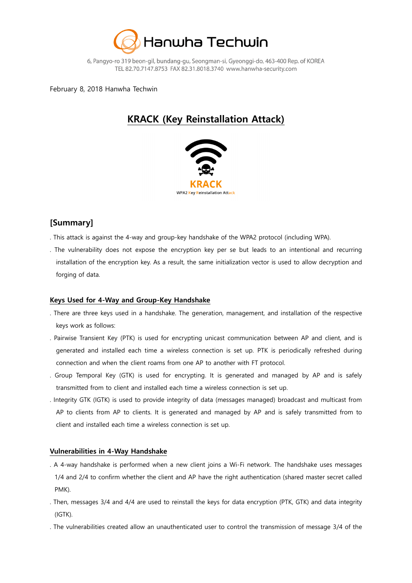

February 8, 2018 Hanwha Techwin

# **KRACK (Key Reinstallation Attack)**



### **[Summary]**

- . This attack is against the 4-way and group-key handshake of the WPA2 protocol (including WPA).
- . The vulnerability does not expose the encryption key per se but leads to an intentional and recurring installation of the encryption key. As a result, the same initialization vector is used to allow decryption and forging of data.

### **Keys Used for 4-Way and Group-Key Handshake**

- . There are three keys used in a handshake. The generation, management, and installation of the respective keys work as follows:
- . Pairwise Transient Key (PTK) is used for encrypting unicast communication between AP and client, and is generated and installed each time a wireless connection is set up. PTK is periodically refreshed during connection and when the client roams from one AP to another with FT protocol.
- . Group Temporal Key (GTK) is used for encrypting. It is generated and managed by AP and is safely transmitted from to client and installed each time a wireless connection is set up.
- . Integrity GTK (IGTK) is used to provide integrity of data (messages managed) broadcast and multicast from AP to clients from AP to clients. It is generated and managed by AP and is safely transmitted from to client and installed each time a wireless connection is set up.

#### **Vulnerabilities in 4-Way Handshake**

- . A 4-way handshake is performed when a new client joins a Wi-Fi network. The handshake uses messages 1/4 and 2/4 to confirm whether the client and AP have the right authentication (shared master secret called PMK).
- . Then, messages 3/4 and 4/4 are used to reinstall the keys for data encryption (PTK, GTK) and data integrity (IGTK).
- . The vulnerabilities created allow an unauthenticated user to control the transmission of message 3/4 of the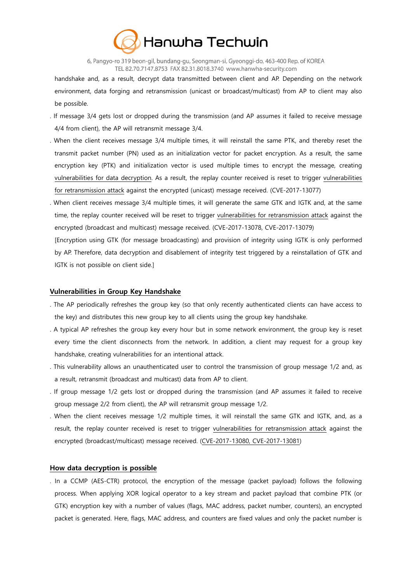

handshake and, as a result, decrypt data transmitted between client and AP. Depending on the network environment, data forging and retransmission (unicast or broadcast/multicast) from AP to client may also be possible.

- . If message 3/4 gets lost or dropped during the transmission (and AP assumes it failed to receive message 4/4 from client), the AP will retransmit message 3/4.
- . When the client receives message 3/4 multiple times, it will reinstall the same PTK, and thereby reset the transmit packet number (PN) used as an initialization vector for packet encryption. As a result, the same encryption key (PTK) and initialization vector is used multiple times to encrypt the message, creating vulnerabilities for data decryption. As a result, the replay counter received is reset to trigger vulnerabilities for retransmission attack against the encrypted (unicast) message received. (CVE-2017-13077)
- . When client receives message 3/4 multiple times, it will generate the same GTK and IGTK and, at the same time, the replay counter received will be reset to trigger vulnerabilities for retransmission attack against the encrypted (broadcast and multicast) message received. (CVE-2017-13078, CVE-2017-13079)
- [Encryption using GTK (for message broadcasting) and provision of integrity using IGTK is only performed by AP. Therefore, data decryption and disablement of integrity test triggered by a reinstallation of GTK and IGTK is not possible on client side.]

#### **Vulnerabilities in Group Key Handshake**

- . The AP periodically refreshes the group key (so that only recently authenticated clients can have access to the key) and distributes this new group key to all clients using the group key handshake.
- . A typical AP refreshes the group key every hour but in some network environment, the group key is reset every time the client disconnects from the network. In addition, a client may request for a group key handshake, creating vulnerabilities for an intentional attack.
- . This vulnerability allows an unauthenticated user to control the transmission of group message 1/2 and, as a result, retransmit (broadcast and multicast) data from AP to client.
- . If group message 1/2 gets lost or dropped during the transmission (and AP assumes it failed to receive group message 2/2 from client), the AP will retransmit group message 1/2.
- . When the client receives message 1/2 multiple times, it will reinstall the same GTK and IGTK, and, as a result, the replay counter received is reset to trigger vulnerabilities for retransmission attack against the encrypted (broadcast/multicast) message received. (CVE-2017-13080, CVE-2017-13081)

#### **How data decryption is possible**

. In a CCMP (AES-CTR) protocol, the encryption of the message (packet payload) follows the following process. When applying XOR logical operator to a key stream and packet payload that combine PTK (or GTK) encryption key with a number of values (flags, MAC address, packet number, counters), an encrypted packet is generated. Here, flags, MAC address, and counters are fixed values and only the packet number is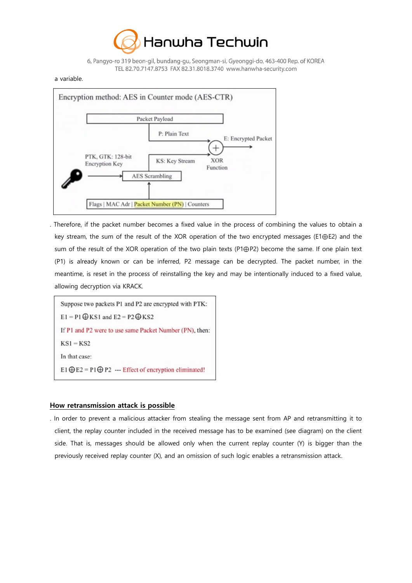

#### a variable.



. Therefore, if the packet number becomes a fixed value in the process of combining the values to obtain a key stream, the sum of the result of the XOR operation of the two encrypted messages (E1⊕E2) and the sum of the result of the XOR operation of the two plain texts (P1⊕P2) become the same. If one plain text (P1) is already known or can be inferred, P2 message can be decrypted. The packet number, in the meantime, is reset in the process of reinstalling the key and may be intentionally induced to a fixed value, allowing decryption via KRACK.

Suppose two packets P1 and P2 are encrypted with PTK:  $E1 = P1 \bigoplus$ KS1 and  $E2 = P2 \bigoplus$ KS2 If P1 and P2 were to use same Packet Number (PN), then:  $KS1 = KS2$ In that case: E1  $\oplus$  E2 = P1  $\oplus$  P2 --- Effect of encryption eliminated!

#### **How retransmission attack is possible**

. In order to prevent a malicious attacker from stealing the message sent from AP and retransmitting it to client, the replay counter included in the received message has to be examined (see diagram) on the client side. That is, messages should be allowed only when the current replay counter (Y) is bigger than the previously received replay counter (X), and an omission of such logic enables a retransmission attack.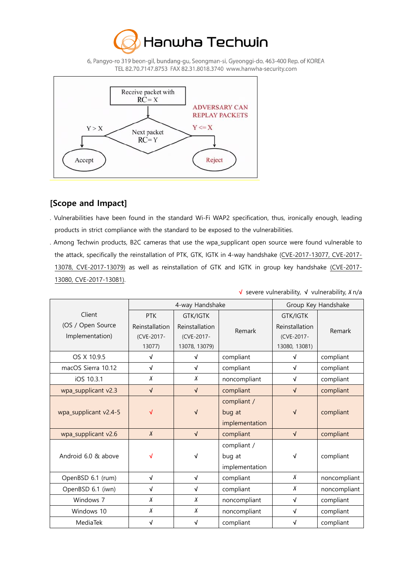



### **[Scope and Impact]**

- . Vulnerabilities have been found in the standard Wi-Fi WAP2 specification, thus, ironically enough, leading products in strict compliance with the standard to be exposed to the vulnerabilities.
- . Among Techwin products, B2C cameras that use the wpa\_supplicant open source were found vulnerable to the attack, specifically the reinstallation of PTK, GTK, IGTK in 4-way handshake (CVE-2017-13077, CVE-2017- 13078, CVE-2017-13079) as well as reinstallation of GTK and IGTK in group key handshake (CVE-2017- 13080, CVE-2017-13081).

|                                                | 4-way Handshake                                      |                                                                  | Group Key Handshake                     |                                                                  |              |
|------------------------------------------------|------------------------------------------------------|------------------------------------------------------------------|-----------------------------------------|------------------------------------------------------------------|--------------|
| Client<br>(OS / Open Source<br>Implementation) | <b>PTK</b><br>Reinstallation<br>(CVE-2017-<br>13077) | <b>GTK/IGTK</b><br>Reinstallation<br>(CVE-2017-<br>13078, 13079) | Remark                                  | <b>GTK/IGTK</b><br>Reinstallation<br>(CVE-2017-<br>13080, 13081) | Remark       |
| OS X 10.9.5                                    | √                                                    | √                                                                | compliant                               | $\sqrt{ }$                                                       | compliant    |
| macOS Sierra 10.12                             | $\sqrt{ }$                                           | $\sqrt{2}$                                                       | compliant                               | $\sqrt{ }$                                                       | compliant    |
| iOS 10.3.1                                     | X                                                    | Χ                                                                | noncompliant                            | $\sqrt{ }$                                                       | compliant    |
| wpa_supplicant v2.3                            | $\sqrt{ }$                                           | $\sqrt{ }$                                                       | compliant                               | $\sqrt{ }$                                                       | compliant    |
| wpa_supplicant v2.4-5                          | √                                                    | $\sqrt{}$                                                        | compliant /<br>bug at<br>implementation | √                                                                | compliant    |
| wpa_supplicant v2.6                            | $\chi$                                               | $\sqrt{ }$                                                       | compliant                               | $\sqrt{ }$                                                       | compliant    |
| Android 6.0 & above                            | √                                                    | √                                                                | compliant /<br>bug at<br>implementation | √                                                                | compliant    |
| OpenBSD 6.1 (rum)                              | $\sqrt{ }$                                           | $\sqrt{2}$                                                       | compliant                               | $\chi$                                                           | noncompliant |
| OpenBSD 6.1 (iwn)                              | √                                                    | √                                                                | compliant                               | Χ                                                                | noncompliant |
| Windows 7                                      | $\chi$                                               | $\chi$                                                           | noncompliant                            | $\sqrt{ }$                                                       | compliant    |
| Windows 10                                     | X                                                    | X                                                                | noncompliant                            | $\sqrt{ }$                                                       | compliant    |
| MediaTek                                       | $\sqrt{ }$                                           | √                                                                | compliant                               | $\sqrt{ }$                                                       | compliant    |

**√** severe vulnerability, **√** vulnerability, Х n/a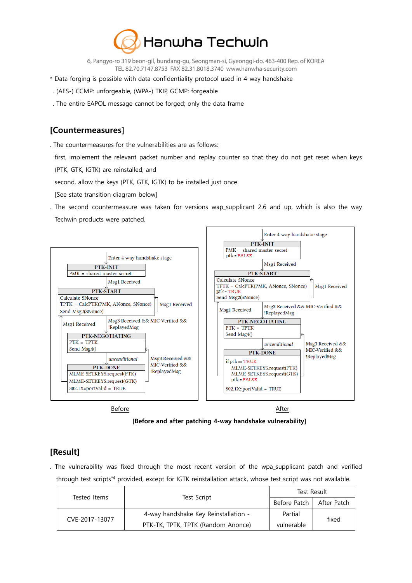

- \* Data forging is possible with data-confidentiality protocol used in 4-way handshake
- . (AES-) CCMP: unforgeable, (WPA-) TKIP, GCMP: forgeable
- . The entire EAPOL message cannot be forged; only the data frame

### **[Countermeasures]**

- . The countermeasures for the vulnerabilities are as follows:
- first, implement the relevant packet number and replay counter so that they do not get reset when keys (PTK, GTK, IGTK) are reinstalled; and
- second, allow the keys (PTK, GTK, IGTK) to be installed just once.
- [See state transition diagram below]
- . The second countermeasure was taken for versions wap\_supplicant 2.6 and up, which is also the way Techwin products were patched.



**[Before and after patching 4-way handshake vulnerability]**

### **[Result]**

. The vulnerability was fixed through the most recent version of the wpa\_supplicant patch and verified through test scripts\*4 provided, except for IGTK reinstallation attack, whose test script was not available.

|                |                                      | Test Result                |  |
|----------------|--------------------------------------|----------------------------|--|
| Tested Items   | Test Script                          | Before Patch   After Patch |  |
| CVE-2017-13077 | 4-way handshake Key Reinstallation - | Partial<br>fixed           |  |
|                | PTK-TK, TPTK, TPTK (Random Anonce)   | vulnerable                 |  |